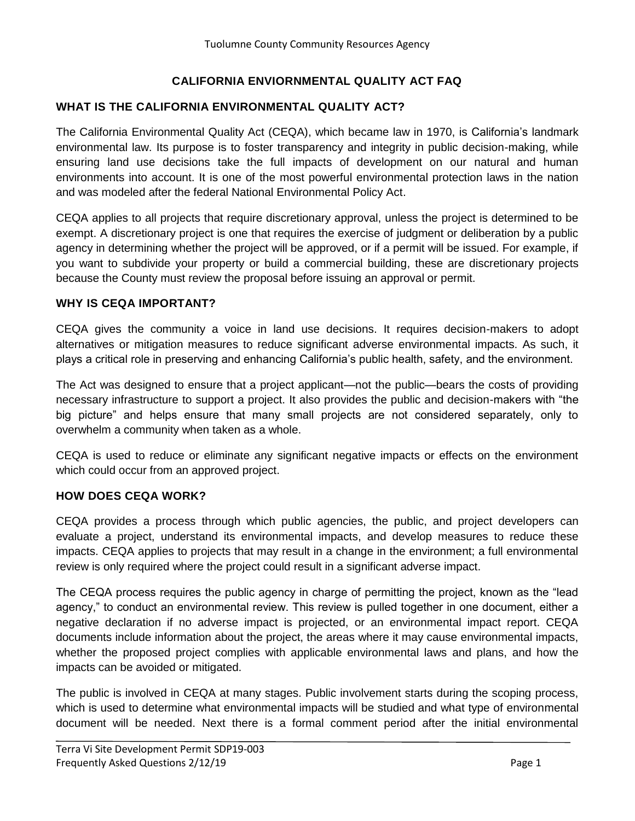## **CALIFORNIA ENVIORNMENTAL QUALITY ACT FAQ**

#### **WHAT IS THE CALIFORNIA ENVIRONMENTAL QUALITY ACT?**

The California Environmental Quality Act (CEQA), which became law in 1970, is California's landmark environmental law. Its purpose is to foster transparency and integrity in public decision-making, while ensuring land use decisions take the full impacts of development on our natural and human environments into account. It is one of the most powerful environmental protection laws in the nation and was modeled after the federal National Environmental Policy Act.

CEQA applies to all projects that require discretionary approval, unless the project is determined to be exempt. A discretionary project is one that requires the exercise of judgment or deliberation by a public agency in determining whether the project will be approved, or if a permit will be issued. For example, if you want to subdivide your property or build a commercial building, these are discretionary projects because the County must review the proposal before issuing an approval or permit.

#### **WHY IS CEQA IMPORTANT?**

CEQA gives the community a voice in land use decisions. It requires decision-makers to adopt alternatives or mitigation measures to reduce significant adverse environmental impacts. As such, it plays a critical role in preserving and enhancing California's public health, safety, and the environment.

The Act was designed to ensure that a project applicant—not the public—bears the costs of providing necessary infrastructure to support a project. It also provides the public and decision-makers with "the big picture" and helps ensure that many small projects are not considered separately, only to overwhelm a community when taken as a whole.

CEQA is used to reduce or eliminate any significant negative impacts or effects on the environment which could occur from an approved project.

#### **HOW DOES CEQA WORK?**

CEQA provides a process through which public agencies, the public, and project developers can evaluate a project, understand its environmental impacts, and develop measures to reduce these impacts. CEQA applies to projects that may result in a change in the environment; a full environmental review is only required where the project could result in a significant adverse impact.

The CEQA process requires the public agency in charge of permitting the project, known as the "lead agency," to conduct an environmental review. This review is pulled together in one document, either a negative declaration if no adverse impact is projected, or an environmental impact report. CEQA documents include information about the project, the areas where it may cause environmental impacts, whether the proposed project complies with applicable environmental laws and plans, and how the impacts can be avoided or mitigated.

The public is involved in CEQA at many stages. Public involvement starts during the scoping process, which is used to determine what environmental impacts will be studied and what type of environmental document will be needed. Next there is a formal comment period after the initial environmental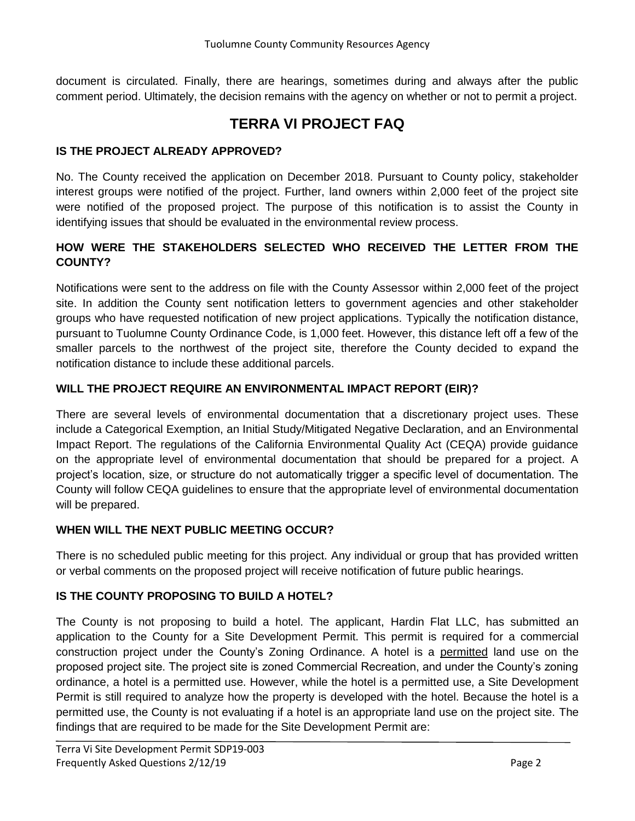document is circulated. Finally, there are hearings, sometimes during and always after the public comment period. Ultimately, the decision remains with the agency on whether or not to permit a project.

# **TERRA VI PROJECT FAQ**

## **IS THE PROJECT ALREADY APPROVED?**

No. The County received the application on December 2018. Pursuant to County policy, stakeholder interest groups were notified of the project. Further, land owners within 2,000 feet of the project site were notified of the proposed project. The purpose of this notification is to assist the County in identifying issues that should be evaluated in the environmental review process.

## **HOW WERE THE STAKEHOLDERS SELECTED WHO RECEIVED THE LETTER FROM THE COUNTY?**

Notifications were sent to the address on file with the County Assessor within 2,000 feet of the project site. In addition the County sent notification letters to government agencies and other stakeholder groups who have requested notification of new project applications. Typically the notification distance, pursuant to Tuolumne County Ordinance Code, is 1,000 feet. However, this distance left off a few of the smaller parcels to the northwest of the project site, therefore the County decided to expand the notification distance to include these additional parcels.

## **WILL THE PROJECT REQUIRE AN ENVIRONMENTAL IMPACT REPORT (EIR)?**

There are several levels of environmental documentation that a discretionary project uses. These include a Categorical Exemption, an Initial Study/Mitigated Negative Declaration, and an Environmental Impact Report. The regulations of the California Environmental Quality Act (CEQA) provide guidance on the appropriate level of environmental documentation that should be prepared for a project. A project's location, size, or structure do not automatically trigger a specific level of documentation. The County will follow CEQA guidelines to ensure that the appropriate level of environmental documentation will be prepared.

### **WHEN WILL THE NEXT PUBLIC MEETING OCCUR?**

There is no scheduled public meeting for this project. Any individual or group that has provided written or verbal comments on the proposed project will receive notification of future public hearings.

## **IS THE COUNTY PROPOSING TO BUILD A HOTEL?**

The County is not proposing to build a hotel. The applicant, Hardin Flat LLC, has submitted an application to the County for a Site Development Permit. This permit is required for a commercial construction project under the County's Zoning Ordinance. A hotel is a permitted land use on the proposed project site. The project site is zoned Commercial Recreation, and under the County's zoning ordinance, a hotel is a permitted use. However, while the hotel is a permitted use, a Site Development Permit is still required to analyze how the property is developed with the hotel. Because the hotel is a permitted use, the County is not evaluating if a hotel is an appropriate land use on the project site. The findings that are required to be made for the Site Development Permit are: